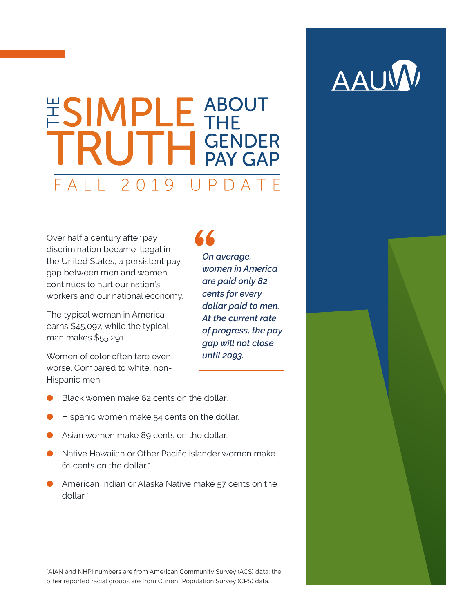# ESIMPLE ABOUT<br>TRUTH GENDER  $FA112019$  $IIPDATATF$

Over half a century after pay discrimination became illegal in the United States, a persistent pay gap between men and women continues to hurt our nation's workers and our national economy.

The typical woman in America earns \$45,097, while the typical man makes \$55,291.

Women of color often fare even worse. Compared to white, non-Hispanic men:

Black women make 62 cents on the dollar.

- Hispanic women make 54 cents on the dollar.
- Asian women make 89 cents on the dollar.
- Native Hawaiian or Other Pacific Islander women make 61 cents on the dollar.\*
- American Indian or Alaska Native make 57 cents on the dollar.\*

\*AIAN and NHPI numbers are from American Community Survey (ACS) data; the other reported racial groups are from Current Population Survey (CPS) data.

*On average, women in America are paid only 82 cents for every dollar paid to men. At the current rate of progress, the pay gap will not close until 2093.*

 $\overline{11}$ 

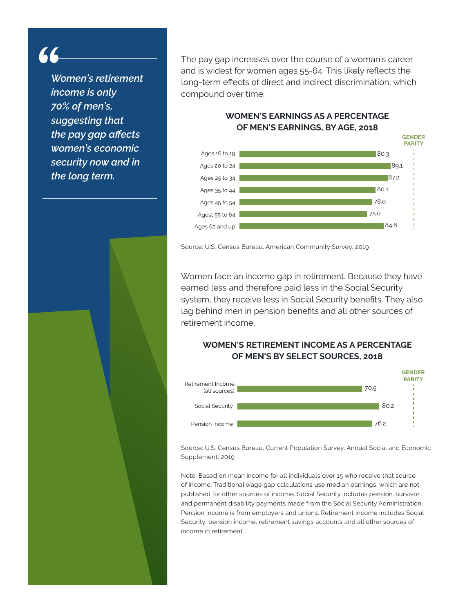66

*Women's retirement income is only 70% of men's, suggesting that the pay gap affects women's economic security now and in the long term.*

The pay gap increases over the course of a woman's career and is widest for women ages 55-64. This likely reflects the long-term effects of direct and indirect discrimination, which compound over time.

### **WOMEN'S EARNINGS AS A PERCENTAGE OF MEN'S EARNINGS, BY AGE, 2018**



Source: U.S. Census Bureau, American Community Survey, 2019

Women face an income gap in retirement. Because they have earned less and therefore paid less in the Social Security system, they receive less in Social Security benefits. They also lag behind men in pension benefits and all other sources of retirement income.

## **WOMEN'S RETIREMENT INCOME AS A PERCENTAGE OF MEN'S BY SELECT SOURCES, 2018**



Source: U.S. Census Bureau, Current Population Survey, Annual Social and Economic Supplement, 2019

Note: Based on mean income for all individuals over 15 who receive that source of income. Traditional wage gap calculations use median earnings, which are not published for other sources of income. Social Security includes pension, survivor, and permanent disability payments made from the Social Security Administration. Pension income is from employers and unions. Retirement income includes Social Security, pension income, retirement savings accounts and all other sources of income in retirement.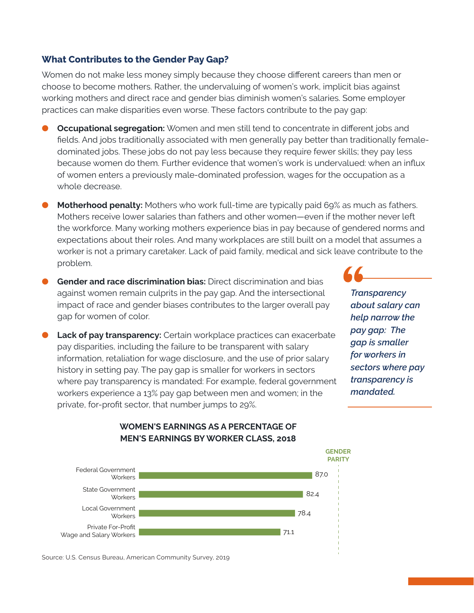#### **What Contributes to the Gender Pay Gap?**

Women do not make less money simply because they choose different careers than men or choose to become mothers. Rather, the undervaluing of women's work, implicit bias against working mothers and direct race and gender bias diminish women's salaries. Some employer practices can make disparities even worse. These factors contribute to the pay gap:

- **Occupational segregation:** Women and men still tend to concentrate in different jobs and fields. And jobs traditionally associated with men generally pay better than traditionally femaledominated jobs. These jobs do not pay less because they require fewer skills; they pay less because women do them. Further evidence that women's work is undervalued: when an influx of women enters a previously male-dominated profession, wages for the occupation as a whole decrease.
- **Motherhood penalty:** Mothers who work full-time are typically paid 69% as much as fathers. Mothers receive lower salaries than fathers and other women—even if the mother never left the workforce. Many working mothers experience bias in pay because of gendered norms and expectations about their roles. And many workplaces are still built on a model that assumes a worker is not a primary caretaker. Lack of paid family, medical and sick leave contribute to the problem.
- **Gender and race discrimination bias:** Direct discrimination and bias against women remain culprits in the pay gap. And the intersectional impact of race and gender biases contributes to the larger overall pay gap for women of color.
- **Lack of pay transparency:** Certain workplace practices can exacerbate pay disparities, including the failure to be transparent with salary information, retaliation for wage disclosure, and the use of prior salary history in setting pay. The pay gap is smaller for workers in sectors where pay transparency is mandated: For example, federal government workers experience a 13% pay gap between men and women; in the private, for-profit sector, that number jumps to 29%.

*Transparency about salary can help narrow the pay gap: The gap is smaller for workers in sectors where pay transparency is mandated.*



#### **WOMEN'S EARNINGS AS A PERCENTAGE OF MEN'S EARNINGS BY WORKER CLASS, 2018**

Source: U.S. Census Bureau, American Community Survey, 2019